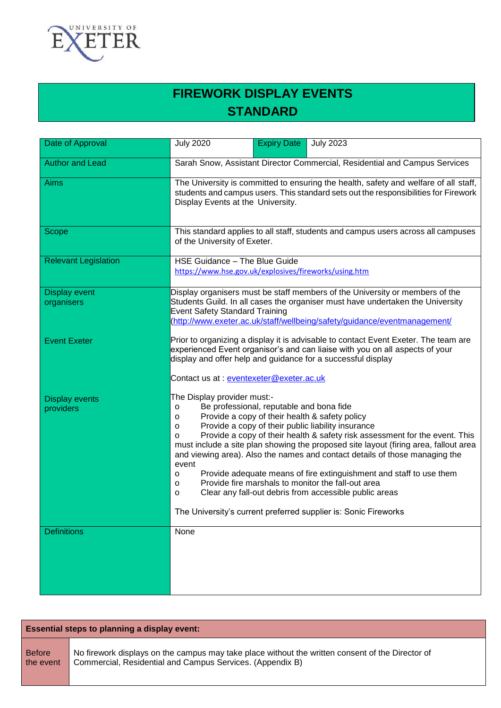

# **FIREWORK DISPLAY EVENTS STANDARD**

| Date of Approval                   | <b>July 2020</b><br><b>July 2023</b><br><b>Expiry Date</b>                                                                                                                                                                                                                                                                                                                                                                                                                                                                                                                                                                                                                                                                                  |
|------------------------------------|---------------------------------------------------------------------------------------------------------------------------------------------------------------------------------------------------------------------------------------------------------------------------------------------------------------------------------------------------------------------------------------------------------------------------------------------------------------------------------------------------------------------------------------------------------------------------------------------------------------------------------------------------------------------------------------------------------------------------------------------|
| <b>Author and Lead</b>             | Sarah Snow, Assistant Director Commercial, Residential and Campus Services                                                                                                                                                                                                                                                                                                                                                                                                                                                                                                                                                                                                                                                                  |
| <b>Aims</b>                        | The University is committed to ensuring the health, safety and welfare of all staff,<br>students and campus users. This standard sets out the responsibilities for Firework<br>Display Events at the University.                                                                                                                                                                                                                                                                                                                                                                                                                                                                                                                            |
| Scope                              | This standard applies to all staff, students and campus users across all campuses<br>of the University of Exeter.                                                                                                                                                                                                                                                                                                                                                                                                                                                                                                                                                                                                                           |
| <b>Relevant Legislation</b>        | HSE Guidance - The Blue Guide<br>https://www.hse.gov.uk/explosives/fireworks/using.htm                                                                                                                                                                                                                                                                                                                                                                                                                                                                                                                                                                                                                                                      |
| <b>Display event</b><br>organisers | Display organisers must be staff members of the University or members of the<br>Students Guild. In all cases the organiser must have undertaken the University<br><b>Event Safety Standard Training</b><br>(http://www.exeter.ac.uk/staff/wellbeing/safety/guidance/eventmanagement/                                                                                                                                                                                                                                                                                                                                                                                                                                                        |
| <b>Event Exeter</b>                | Prior to organizing a display it is advisable to contact Event Exeter. The team are<br>experienced Event organisor's and can liaise with you on all aspects of your<br>display and offer help and guidance for a successful display<br>Contact us at: eventexeter@exeter.ac.uk                                                                                                                                                                                                                                                                                                                                                                                                                                                              |
| <b>Display events</b><br>providers | The Display provider must:-<br>Be professional, reputable and bona fide<br>о<br>Provide a copy of their health & safety policy<br>o<br>Provide a copy of their public liability insurance<br>o<br>Provide a copy of their health & safety risk assessment for the event. This<br>o<br>must include a site plan showing the proposed site layout (firing area, fallout area<br>and viewing area). Also the names and contact details of those managing the<br>event<br>Provide adequate means of fire extinguishment and staff to use them<br>о<br>Provide fire marshals to monitor the fall-out area<br>о<br>Clear any fall-out debris from accessible public areas<br>o<br>The University's current preferred supplier is: Sonic Fireworks |
| <b>Definitions</b>                 | None                                                                                                                                                                                                                                                                                                                                                                                                                                                                                                                                                                                                                                                                                                                                        |

| <b>Essential steps to planning a display event:</b> |                                                                                                  |
|-----------------------------------------------------|--------------------------------------------------------------------------------------------------|
| <b>Before</b>                                       | No firework displays on the campus may take place without the written consent of the Director of |
| the event                                           | Commercial, Residential and Campus Services. (Appendix B)                                        |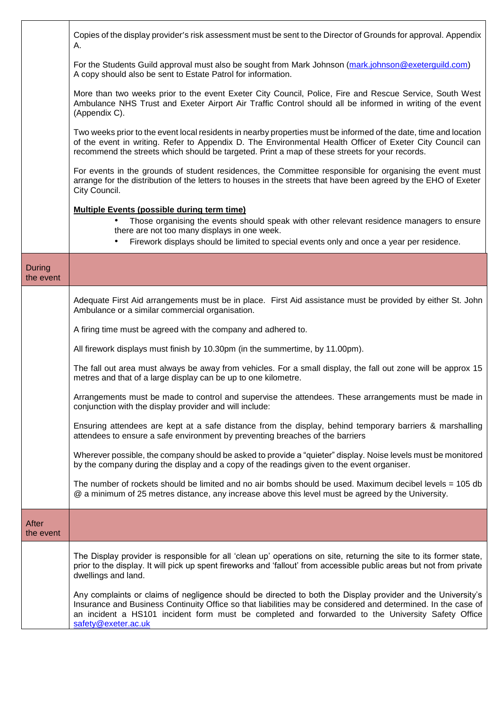|                            | Copies of the display provider's risk assessment must be sent to the Director of Grounds for approval. Appendix<br>А.                                                                                                                                                                                                                                    |
|----------------------------|----------------------------------------------------------------------------------------------------------------------------------------------------------------------------------------------------------------------------------------------------------------------------------------------------------------------------------------------------------|
|                            | For the Students Guild approval must also be sought from Mark Johnson (mark.johnson@exeterguild.com)<br>A copy should also be sent to Estate Patrol for information.                                                                                                                                                                                     |
|                            | More than two weeks prior to the event Exeter City Council, Police, Fire and Rescue Service, South West<br>Ambulance NHS Trust and Exeter Airport Air Traffic Control should all be informed in writing of the event<br>(Appendix C).                                                                                                                    |
|                            | Two weeks prior to the event local residents in nearby properties must be informed of the date, time and location<br>of the event in writing. Refer to Appendix D. The Environmental Health Officer of Exeter City Council can<br>recommend the streets which should be targeted. Print a map of these streets for your records.                         |
|                            | For events in the grounds of student residences, the Committee responsible for organising the event must<br>arrange for the distribution of the letters to houses in the streets that have been agreed by the EHO of Exeter<br>City Council.                                                                                                             |
|                            | <b>Multiple Events (possible during term time)</b>                                                                                                                                                                                                                                                                                                       |
|                            | Those organising the events should speak with other relevant residence managers to ensure<br>there are not too many displays in one week.                                                                                                                                                                                                                |
|                            | Firework displays should be limited to special events only and once a year per residence.                                                                                                                                                                                                                                                                |
| <b>During</b><br>the event |                                                                                                                                                                                                                                                                                                                                                          |
|                            | Adequate First Aid arrangements must be in place. First Aid assistance must be provided by either St. John<br>Ambulance or a similar commercial organisation.                                                                                                                                                                                            |
|                            | A firing time must be agreed with the company and adhered to.                                                                                                                                                                                                                                                                                            |
|                            | All firework displays must finish by 10.30pm (in the summertime, by 11.00pm).                                                                                                                                                                                                                                                                            |
|                            | The fall out area must always be away from vehicles. For a small display, the fall out zone will be approx 15<br>metres and that of a large display can be up to one kilometre.                                                                                                                                                                          |
|                            | Arrangements must be made to control and supervise the attendees. These arrangements must be made in<br>conjunction with the display provider and will include:                                                                                                                                                                                          |
|                            | Ensuring attendees are kept at a safe distance from the display, behind temporary barriers & marshalling<br>attendees to ensure a safe environment by preventing breaches of the barriers                                                                                                                                                                |
|                            | Wherever possible, the company should be asked to provide a "quieter" display. Noise levels must be monitored<br>by the company during the display and a copy of the readings given to the event organiser.                                                                                                                                              |
|                            | The number of rockets should be limited and no air bombs should be used. Maximum decibel levels = 105 db<br>@ a minimum of 25 metres distance, any increase above this level must be agreed by the University.                                                                                                                                           |
| After<br>the event         |                                                                                                                                                                                                                                                                                                                                                          |
|                            | The Display provider is responsible for all 'clean up' operations on site, returning the site to its former state,<br>prior to the display. It will pick up spent fireworks and 'fallout' from accessible public areas but not from private<br>dwellings and land.                                                                                       |
|                            | Any complaints or claims of negligence should be directed to both the Display provider and the University's<br>Insurance and Business Continuity Office so that liabilities may be considered and determined. In the case of<br>an incident a HS101 incident form must be completed and forwarded to the University Safety Office<br>safety@exeter.ac.uk |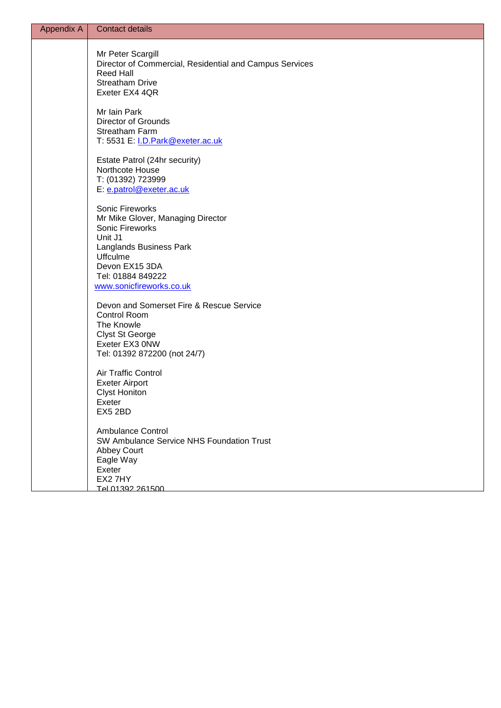| <b>Appendix A</b> | <b>Contact details</b>                                                                                                                                                         |
|-------------------|--------------------------------------------------------------------------------------------------------------------------------------------------------------------------------|
|                   | Mr Peter Scargill<br>Director of Commercial, Residential and Campus Services<br><b>Reed Hall</b><br><b>Streatham Drive</b><br>Exeter EX4 4QR                                   |
|                   | Mr Iain Park<br><b>Director of Grounds</b><br>Streatham Farm<br>T: 5531 E: <i>I.D.Park@exeter.ac.uk</i>                                                                        |
|                   | Estate Patrol (24hr security)<br>Northcote House<br>T: (01392) 723999<br>E: e.patrol@exeter.ac.uk                                                                              |
|                   | Sonic Fireworks<br>Mr Mike Glover, Managing Director<br>Sonic Fireworks<br>Unit J1<br>Langlands Business Park<br><b>Uffculme</b><br>Devon EX15 3DA<br>Tel: 01884 849222        |
|                   | www.sonicfireworks.co.uk<br>Devon and Somerset Fire & Rescue Service<br>Control Room<br>The Knowle<br><b>Clyst St George</b><br>Exeter EX3 0NW<br>Tel: 01392 872200 (not 24/7) |
|                   | Air Traffic Control<br><b>Exeter Airport</b><br><b>Clyst Honiton</b><br>Exeter<br>EX5 2BD                                                                                      |
|                   | <b>Ambulance Control</b><br>SW Ambulance Service NHS Foundation Trust<br><b>Abbey Court</b><br>Eagle Way<br>Exeter<br>EX2 7HY<br>Tel 01392 261500                              |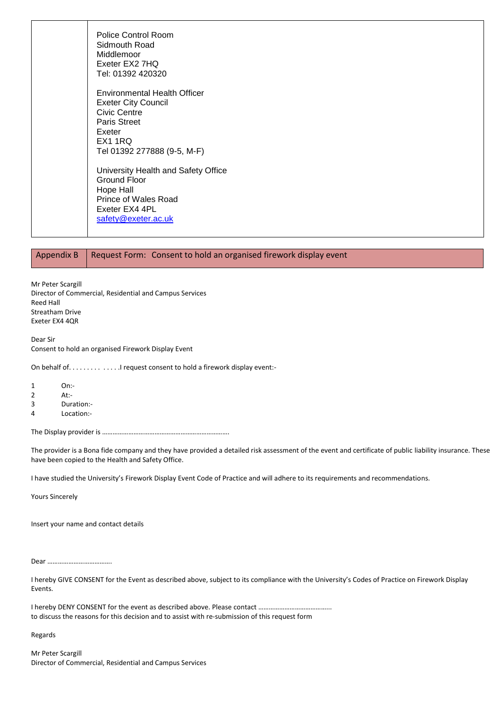Police Control Room Sidmouth Road Middlemoor Exeter EX2 7HQ Tel: 01392 420320 Environmental Health Officer Exeter City Council Civic Centre Paris Street Exeter EX1 1RQ Tel 01392 277888 (9-5, M-F) University Health and Safety Office Ground Floor Hope Hall Prince of Wales Road Exeter EX4 4PL [safety@exeter.ac.uk](mailto:safety@exeter.ac.uk)

### Appendix B  $\parallel$  Request Form: Consent to hold an organised firework display event

Mr Peter Scargill Director of Commercial, Residential and Campus Services Reed Hall Streatham Drive Exeter EX4 4QR

Dear Sir Consent to hold an organised Firework Display Event

On behalf of. . . . . . . . . . . . . . . I request consent to hold a firework display event:-

1 On:- 2 At:-

3 Duration:-

4 Location:-

The Display provider is ……………………………………………………………….

The provider is a Bona fide company and they have provided a detailed risk assessment of the event and certificate of public liability insurance. These have been copied to the Health and Safety Office.

I have studied the University's Firework Display Event Code of Practice and will adhere to its requirements and recommendations.

Yours Sincerely

Insert your name and contact details

Dear ……………………………….

I hereby GIVE CONSENT for the Event as described above, subject to its compliance with the University's Codes of Practice on Firework Display Events.

I hereby DENY CONSENT for the event as described above. Please contact …………………………………... to discuss the reasons for this decision and to assist with re-submission of this request form

Regards

Mr Peter Scargill Director of Commercial, Residential and Campus Services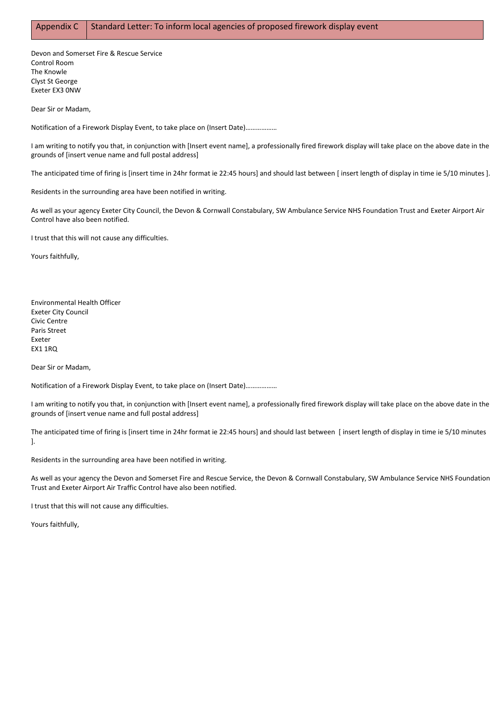Devon and Somerset Fire & Rescue Service Control Room The Knowle Clyst St George Exeter EX3 0NW

Dear Sir or Madam,

Notification of a Firework Display Event, to take place on (Insert Date)………………

I am writing to notify you that, in conjunction with [Insert event name], a professionally fired firework display will take place on the above date in the grounds of [insert venue name and full postal address]

The anticipated time of firing is [insert time in 24hr format ie 22:45 hours] and should last between [ insert length of display in time ie 5/10 minutes ].

Residents in the surrounding area have been notified in writing.

As well as your agency Exeter City Council, the Devon & Cornwall Constabulary, SW Ambulance Service NHS Foundation Trust and Exeter Airport Air Control have also been notified.

I trust that this will not cause any difficulties.

Yours faithfully,

Environmental Health Officer Exeter City Council Civic Centre Paris Street Exeter EX1 1RQ

Dear Sir or Madam,

Notification of a Firework Display Event, to take place on (Insert Date)………………

I am writing to notify you that, in conjunction with [Insert event name], a professionally fired firework display will take place on the above date in the grounds of [insert venue name and full postal address]

The anticipated time of firing is [insert time in 24hr format ie 22:45 hours] and should last between [ insert length of display in time ie 5/10 minutes ].

Residents in the surrounding area have been notified in writing.

As well as your agency the Devon and Somerset Fire and Rescue Service, the Devon & Cornwall Constabulary, SW Ambulance Service NHS Foundation Trust and Exeter Airport Air Traffic Control have also been notified.

I trust that this will not cause any difficulties.

Yours faithfully,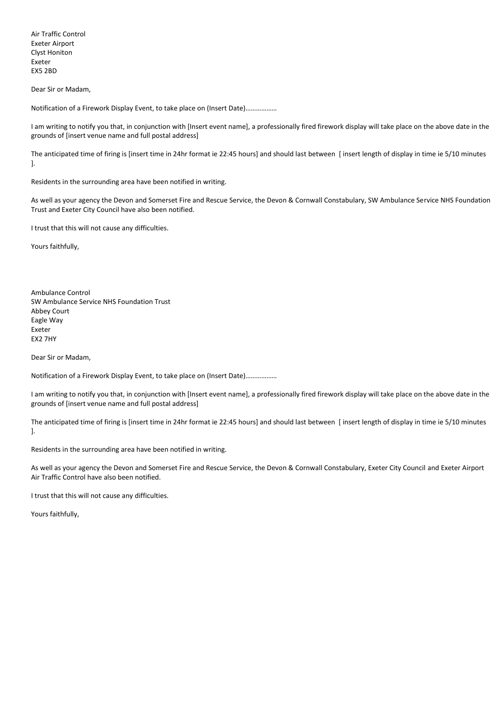Air Traffic Control Exeter Airport Clyst Honiton Exeter EX5 2BD

Dear Sir or Madam,

Notification of a Firework Display Event, to take place on (Insert Date)………………

I am writing to notify you that, in conjunction with [Insert event name], a professionally fired firework display will take place on the above date in the grounds of [insert venue name and full postal address]

The anticipated time of firing is [insert time in 24hr format ie 22:45 hours] and should last between [ insert length of display in time ie 5/10 minutes ].

Residents in the surrounding area have been notified in writing.

As well as your agency the Devon and Somerset Fire and Rescue Service, the Devon & Cornwall Constabulary, SW Ambulance Service NHS Foundation Trust and Exeter City Council have also been notified.

I trust that this will not cause any difficulties.

Yours faithfully,

Ambulance Control SW Ambulance Service NHS Foundation Trust Abbey Court Eagle Way Exeter EX2 7HY

Dear Sir or Madam,

Notification of a Firework Display Event, to take place on (Insert Date)………………

I am writing to notify you that, in conjunction with [Insert event name], a professionally fired firework display will take place on the above date in the grounds of [insert venue name and full postal address]

The anticipated time of firing is [insert time in 24hr format ie 22:45 hours] and should last between [ insert length of display in time ie 5/10 minutes ].

Residents in the surrounding area have been notified in writing.

As well as your agency the Devon and Somerset Fire and Rescue Service, the Devon & Cornwall Constabulary, Exeter City Council and Exeter Airport Air Traffic Control have also been notified.

I trust that this will not cause any difficulties.

Yours faithfully,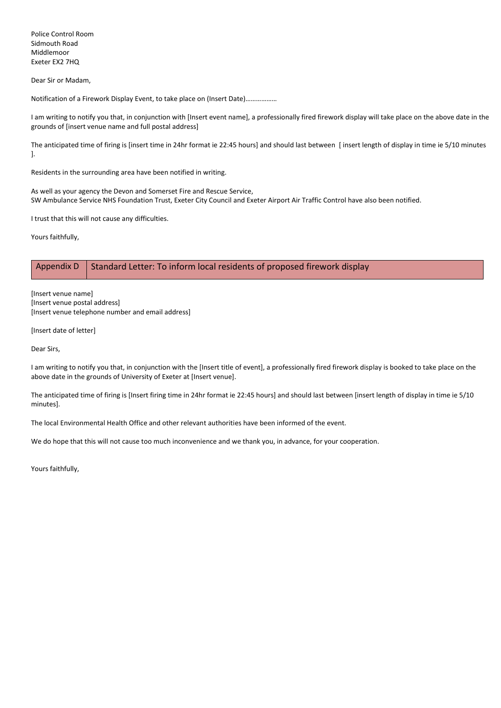Police Control Room Sidmouth Road Middlemoor Exeter EX2 7HQ

Dear Sir or Madam,

Notification of a Firework Display Event, to take place on (Insert Date)………………

I am writing to notify you that, in conjunction with [Insert event name], a professionally fired firework display will take place on the above date in the grounds of [insert venue name and full postal address]

The anticipated time of firing is [insert time in 24hr format ie 22:45 hours] and should last between [ insert length of display in time ie 5/10 minutes ].

Residents in the surrounding area have been notified in writing.

As well as your agency the Devon and Somerset Fire and Rescue Service, SW Ambulance Service NHS Foundation Trust, Exeter City Council and Exeter Airport Air Traffic Control have also been notified.

I trust that this will not cause any difficulties.

Yours faithfully,

## Appendix D Standard Letter: To inform local residents of proposed firework display

[Insert venue name] [Insert venue postal address] [Insert venue telephone number and email address]

[Insert date of letter]

Dear Sirs,

I am writing to notify you that, in conjunction with the [Insert title of event], a professionally fired firework display is booked to take place on the above date in the grounds of University of Exeter at [Insert venue].

The anticipated time of firing is [Insert firing time in 24hr format ie 22:45 hours] and should last between [insert length of display in time ie 5/10 minutes].

The local Environmental Health Office and other relevant authorities have been informed of the event.

We do hope that this will not cause too much inconvenience and we thank you, in advance, for your cooperation.

Yours faithfully,